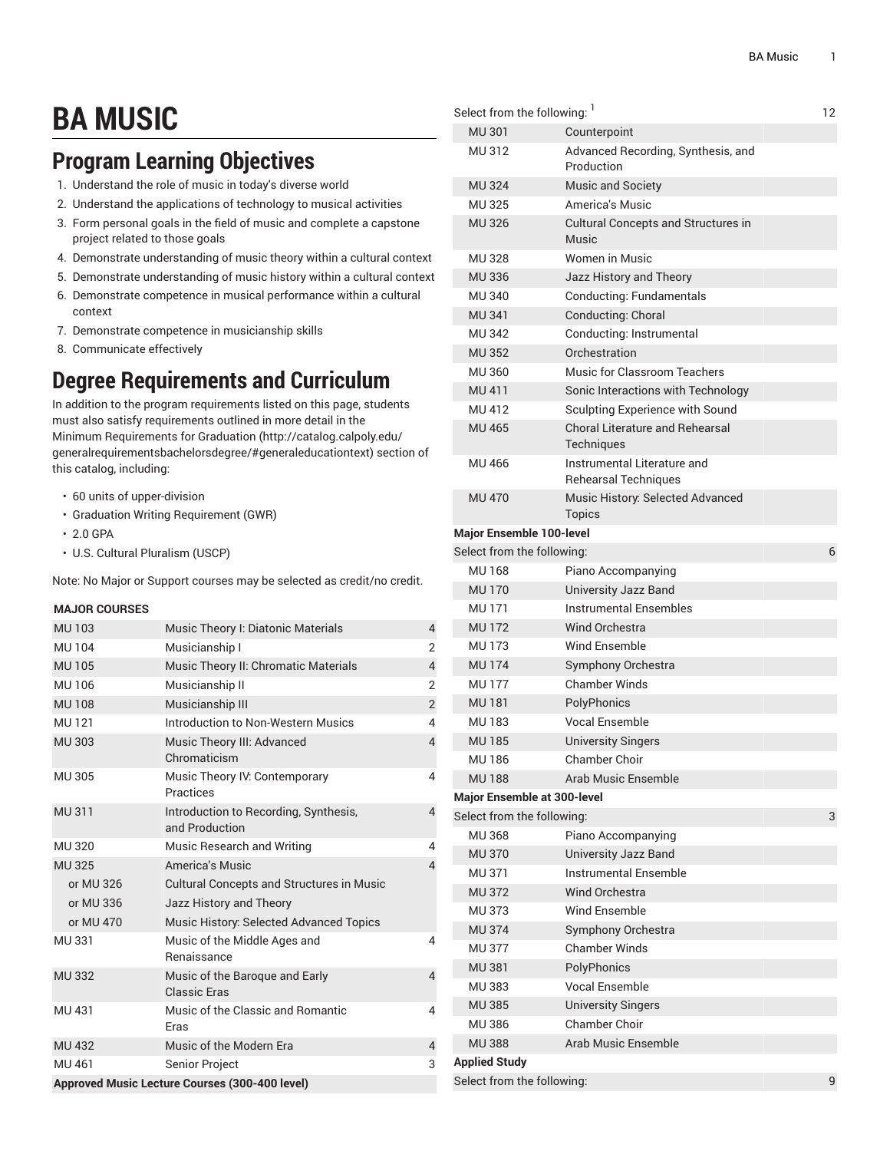# **BA MUSIC**

## **Program Learning Objectives**

- 1. Understand the role of music in today's diverse world
- 2. Understand the applications of technology to musical activities
- 3. Form personal goals in the field of music and complete a capstone project related to those goals
- 4. Demonstrate understanding of music theory within a cultural context
- 5. Demonstrate understanding of music history within a cultural context
- 6. Demonstrate competence in musical performance within a cultural context
- 7. Demonstrate competence in musicianship skills
- 8. Communicate effectively

### **Degree Requirements and Curriculum**

In addition to the program requirements listed on this page, students must also satisfy requirements outlined in more detail in the Minimum [Requirements](http://catalog.calpoly.edu/generalrequirementsbachelorsdegree/#generaleducationtext) for Graduation ([http://catalog.calpoly.edu/](http://catalog.calpoly.edu/generalrequirementsbachelorsdegree/#generaleducationtext) [generalrequirementsbachelorsdegree/#generaleducationtext\)](http://catalog.calpoly.edu/generalrequirementsbachelorsdegree/#generaleducationtext) section of this catalog, including:

- 60 units of upper-division
- Graduation Writing Requirement (GWR)
- 2.0 GPA
- U.S. Cultural Pluralism (USCP)

Note: No Major or Support courses may be selected as credit/no credit.

#### **MAJOR COURSES**

| <b>MU103</b>                                   | Music Theory I: Diatonic Materials                      | $\overline{4}$ |  |
|------------------------------------------------|---------------------------------------------------------|----------------|--|
| <b>MU104</b>                                   | Musicianship I                                          | $\overline{2}$ |  |
| <b>MU105</b>                                   | Music Theory II: Chromatic Materials                    | $\overline{4}$ |  |
| MU 106                                         | Musicianship II                                         | $\overline{2}$ |  |
| <b>MU108</b>                                   | Musicianship III                                        | $\overline{2}$ |  |
| MU 121                                         | Introduction to Non-Western Musics                      | $\overline{4}$ |  |
| <b>MU 303</b>                                  | Music Theory III: Advanced<br>Chromaticism              | $\overline{4}$ |  |
| MU 305                                         | Music Theory IV: Contemporary<br>Practices              | $\overline{4}$ |  |
| MU 311                                         | Introduction to Recording, Synthesis,<br>and Production | $\overline{4}$ |  |
| <b>MU320</b>                                   | Music Research and Writing                              | $\overline{4}$ |  |
| <b>MU325</b>                                   | America's Music                                         | $\overline{4}$ |  |
| or MU 326                                      | <b>Cultural Concepts and Structures in Music</b>        |                |  |
| or MU 336                                      | Jazz History and Theory                                 |                |  |
| or MU 470                                      | Music History: Selected Advanced Topics                 |                |  |
| MU 331                                         | Music of the Middle Ages and<br>Renaissance             | 4              |  |
| <b>MU332</b>                                   | Music of the Baroque and Early<br><b>Classic Fras</b>   | $\overline{4}$ |  |
| MU 431                                         | Music of the Classic and Romantic<br><b>Fras</b>        | $\overline{4}$ |  |
| <b>MU 432</b>                                  | Music of the Modern Era                                 | $\overline{4}$ |  |
| MU 461                                         | <b>Senior Project</b>                                   | 3              |  |
| Approved Music Lecture Courses (300-400 level) |                                                         |                |  |

| Select from the following: <sup>1</sup> |                                                            | 12 |
|-----------------------------------------|------------------------------------------------------------|----|
| <b>MU301</b>                            | Counterpoint                                               |    |
| MU 312                                  | Advanced Recording, Synthesis, and<br>Production           |    |
| <b>MU324</b>                            | <b>Music and Society</b>                                   |    |
| <b>MU325</b>                            | America's Music                                            |    |
| <b>MU326</b>                            | <b>Cultural Concepts and Structures in</b><br>Music        |    |
| <b>MU328</b>                            | Women in Music                                             |    |
| <b>MU336</b>                            | Jazz History and Theory                                    |    |
| <b>MU340</b>                            | <b>Conducting: Fundamentals</b>                            |    |
| <b>MU 341</b>                           | Conducting: Choral                                         |    |
| <b>MU342</b>                            | Conducting: Instrumental                                   |    |
| <b>MU352</b>                            | Orchestration                                              |    |
| MU 360                                  | Music for Classroom Teachers                               |    |
| MU 411                                  | Sonic Interactions with Technology                         |    |
| MU 412                                  | Sculpting Experience with Sound                            |    |
| <b>MU 465</b>                           | <b>Choral Literature and Rehearsal</b><br>Techniques       |    |
| MU 466                                  | Instrumental Literature and<br><b>Rehearsal Techniques</b> |    |
| <b>MU 470</b>                           | Music History: Selected Advanced<br><b>Topics</b>          |    |
| Major Ensemble 100-level                |                                                            |    |
| Select from the following:              |                                                            | 6  |
| <b>MU168</b>                            | Piano Accompanying                                         |    |
| <b>MU170</b>                            | University Jazz Band                                       |    |
| <b>MU171</b>                            | <b>Instrumental Ensembles</b>                              |    |
| <b>MU172</b>                            | <b>Wind Orchestra</b>                                      |    |
| <b>MU173</b>                            | Wind Ensemble                                              |    |
| <b>MU174</b>                            | Symphony Orchestra                                         |    |
| <b>MU177</b>                            | <b>Chamber Winds</b>                                       |    |
| <b>MU181</b>                            | PolyPhonics                                                |    |
| <b>MU183</b>                            | <b>Vocal Ensemble</b>                                      |    |
| <b>MU185</b>                            | <b>University Singers</b>                                  |    |
| <b>MU186</b>                            | Chamber Choir                                              |    |
| <b>MU188</b>                            | Arab Music Ensemble                                        |    |
| <b>Major Ensemble at 300-level</b>      |                                                            |    |
| Select from the following:              |                                                            | 3  |
| <b>MU368</b>                            | Piano Accompanying                                         |    |
| <b>MU370</b>                            | University Jazz Band                                       |    |
| <b>MU 371</b>                           | <b>Instrumental Ensemble</b>                               |    |
| <b>MU372</b>                            | Wind Orchestra                                             |    |
| <b>MU373</b>                            | Wind Ensemble                                              |    |
| <b>MU 374</b>                           | Symphony Orchestra                                         |    |
| <b>MU 377</b>                           | <b>Chamber Winds</b>                                       |    |
| <b>MU381</b>                            | PolyPhonics                                                |    |
| <b>MU383</b>                            | Vocal Ensemble                                             |    |
| <b>MU385</b>                            | <b>University Singers</b>                                  |    |
| MU 386                                  | Chamber Choir                                              |    |
| <b>MU 388</b>                           | Arab Music Ensemble                                        |    |
| <b>Applied Study</b>                    |                                                            |    |
| Select from the following:              |                                                            | 9  |